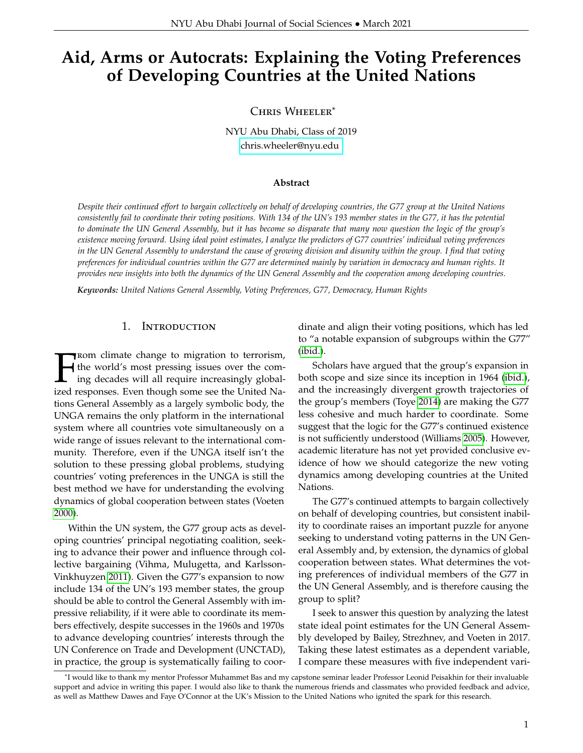# **Aid, Arms or Autocrats: Explaining the Voting Preferences of Developing Countries at the United Nations**

Chris Wheeler\*

NYU Abu Dhabi, Class of 2019 [chris.wheeler@nyu.edu](mailto:chris.wheeler@nyu.edu )

#### **Abstract**

*Despite their continued effort to bargain collectively on behalf of developing countries, the G77 group at the United Nations consistently fail to coordinate their voting positions. With 134 of the UN's 193 member states in the G77, it has the potential to dominate the UN General Assembly, but it has become so disparate that many now question the logic of the group's existence moving forward. Using ideal point estimates, I analyze the predictors of G77 countries' individual voting preferences in the UN General Assembly to understand the cause of growing division and disunity within the group. I find that voting preferences for individual countries within the G77 are determined mainly by variation in democracy and human rights. It provides new insights into both the dynamics of the UN General Assembly and the cooperation among developing countries.*

*Keywords: United Nations General Assembly, Voting Preferences, G77, Democracy, Human Rights*

#### 1. Introduction

**FROM climate change to migration to terrorism,**<br>the world's most pressing issues over the com-<br>ing decades will all require increasingly global-<br>ized responses. Even though some see the United Na-**The Theory climate change to migration to terrorism,** the world's most pressing issues over the coming decades will all require increasingly globaltions General Assembly as a largely symbolic body, the UNGA remains the only platform in the international system where all countries vote simultaneously on a wide range of issues relevant to the international community. Therefore, even if the UNGA itself isn't the solution to these pressing global problems, studying countries' voting preferences in the UNGA is still the best method we have for understanding the evolving dynamics of global cooperation between states (Voeten [2000\)](#page-11-0).

Within the UN system, the G77 group acts as developing countries' principal negotiating coalition, seeking to advance their power and influence through collective bargaining (Vihma, Mulugetta, and Karlsson-Vinkhuyzen [2011\)](#page-10-0). Given the G77's expansion to now include 134 of the UN's 193 member states, the group should be able to control the General Assembly with impressive reliability, if it were able to coordinate its members effectively, despite successes in the 1960s and 1970s to advance developing countries' interests through the UN Conference on Trade and Development (UNCTAD), in practice, the group is systematically failing to coordinate and align their voting positions, which has led to "a notable expansion of subgroups within the G77" [\(ibid.\)](#page-10-0).

Scholars have argued that the group's expansion in both scope and size since its inception in 1964 [\(ibid.\)](#page-10-0), and the increasingly divergent growth trajectories of the group's members (Toye [2014\)](#page-10-1) are making the G77 less cohesive and much harder to coordinate. Some suggest that the logic for the G77's continued existence is not sufficiently understood (Williams [2005\)](#page-11-1). However, academic literature has not yet provided conclusive evidence of how we should categorize the new voting dynamics among developing countries at the United Nations.

The G77's continued attempts to bargain collectively on behalf of developing countries, but consistent inability to coordinate raises an important puzzle for anyone seeking to understand voting patterns in the UN General Assembly and, by extension, the dynamics of global cooperation between states. What determines the voting preferences of individual members of the G77 in the UN General Assembly, and is therefore causing the group to split?

I seek to answer this question by analyzing the latest state ideal point estimates for the UN General Assembly developed by Bailey, Strezhnev, and Voeten in 2017. Taking these latest estimates as a dependent variable, I compare these measures with five independent vari-

<sup>\*</sup>I would like to thank my mentor Professor Muhammet Bas and my capstone seminar leader Professor Leonid Peisakhin for their invaluable support and advice in writing this paper. I would also like to thank the numerous friends and classmates who provided feedback and advice, as well as Matthew Dawes and Faye O'Connor at the UK's Mission to the United Nations who ignited the spark for this research.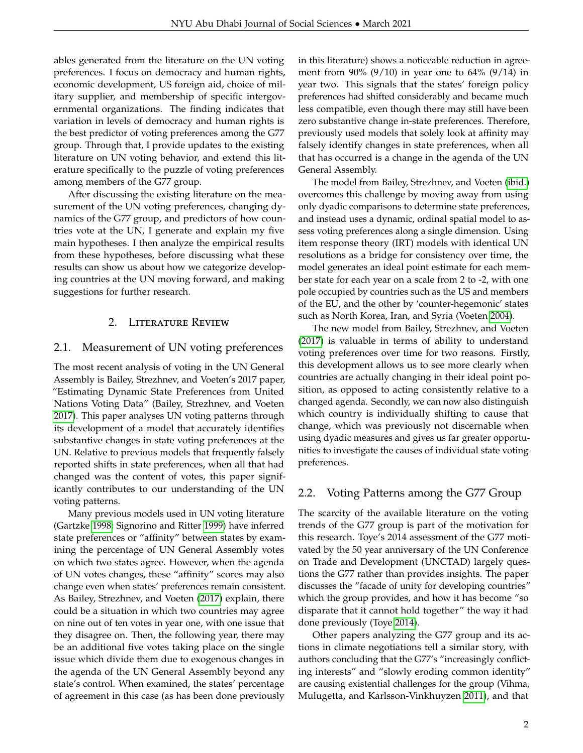ables generated from the literature on the UN voting preferences. I focus on democracy and human rights, economic development, US foreign aid, choice of military supplier, and membership of specific intergovernmental organizations. The finding indicates that variation in levels of democracy and human rights is the best predictor of voting preferences among the G77 group. Through that, I provide updates to the existing literature on UN voting behavior, and extend this literature specifically to the puzzle of voting preferences among members of the G77 group.

After discussing the existing literature on the measurement of the UN voting preferences, changing dynamics of the G77 group, and predictors of how countries vote at the UN, I generate and explain my five main hypotheses. I then analyze the empirical results from these hypotheses, before discussing what these results can show us about how we categorize developing countries at the UN moving forward, and making suggestions for further research.

## 2. Literature Review

## 2.1. Measurement of UN voting preferences

The most recent analysis of voting in the UN General Assembly is Bailey, Strezhnev, and Voeten's 2017 paper, "Estimating Dynamic State Preferences from United Nations Voting Data" (Bailey, Strezhnev, and Voeten [2017\)](#page-10-2). This paper analyses UN voting patterns through its development of a model that accurately identifies substantive changes in state voting preferences at the UN. Relative to previous models that frequently falsely reported shifts in state preferences, when all that had changed was the content of votes, this paper significantly contributes to our understanding of the UN voting patterns.

Many previous models used in UN voting literature (Gartzke [1998;](#page-10-3) Signorino and Ritter [1999\)](#page-10-4) have inferred state preferences or "affinity" between states by examining the percentage of UN General Assembly votes on which two states agree. However, when the agenda of UN votes changes, these "affinity" scores may also change even when states' preferences remain consistent. As Bailey, Strezhnev, and Voeten [\(2017\)](#page-10-2) explain, there could be a situation in which two countries may agree on nine out of ten votes in year one, with one issue that they disagree on. Then, the following year, there may be an additional five votes taking place on the single issue which divide them due to exogenous changes in the agenda of the UN General Assembly beyond any state's control. When examined, the states' percentage of agreement in this case (as has been done previously

in this literature) shows a noticeable reduction in agreement from 90% (9/10) in year one to 64% (9/14) in year two. This signals that the states' foreign policy preferences had shifted considerably and became much less compatible, even though there may still have been zero substantive change in-state preferences. Therefore, previously used models that solely look at affinity may falsely identify changes in state preferences, when all that has occurred is a change in the agenda of the UN General Assembly.

The model from Bailey, Strezhnev, and Voeten [\(ibid.\)](#page-10-2) overcomes this challenge by moving away from using only dyadic comparisons to determine state preferences, and instead uses a dynamic, ordinal spatial model to assess voting preferences along a single dimension. Using item response theory (IRT) models with identical UN resolutions as a bridge for consistency over time, the model generates an ideal point estimate for each member state for each year on a scale from 2 to -2, with one pole occupied by countries such as the US and members of the EU, and the other by 'counter-hegemonic' states such as North Korea, Iran, and Syria (Voeten [2004\)](#page-11-2).

The new model from Bailey, Strezhnev, and Voeten [\(2017\)](#page-10-2) is valuable in terms of ability to understand voting preferences over time for two reasons. Firstly, this development allows us to see more clearly when countries are actually changing in their ideal point position, as opposed to acting consistently relative to a changed agenda. Secondly, we can now also distinguish which country is individually shifting to cause that change, which was previously not discernable when using dyadic measures and gives us far greater opportunities to investigate the causes of individual state voting preferences.

## 2.2. Voting Patterns among the G77 Group

The scarcity of the available literature on the voting trends of the G77 group is part of the motivation for this research. Toye's 2014 assessment of the G77 motivated by the 50 year anniversary of the UN Conference on Trade and Development (UNCTAD) largely questions the G77 rather than provides insights. The paper discusses the "facade of unity for developing countries" which the group provides, and how it has become "so disparate that it cannot hold together" the way it had done previously (Toye [2014\)](#page-10-1).

Other papers analyzing the G77 group and its actions in climate negotiations tell a similar story, with authors concluding that the G77's "increasingly conflicting interests" and "slowly eroding common identity" are causing existential challenges for the group (Vihma, Mulugetta, and Karlsson-Vinkhuyzen [2011\)](#page-10-0), and that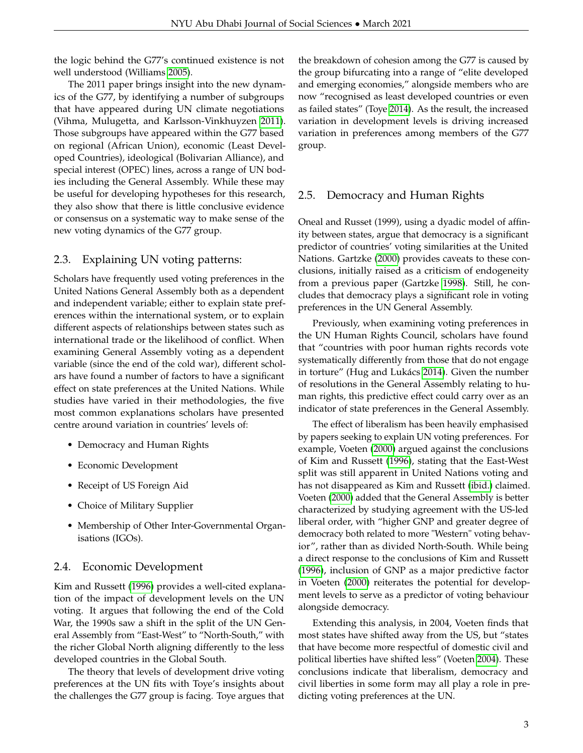the logic behind the G77's continued existence is not well understood (Williams [2005\)](#page-11-1).

The 2011 paper brings insight into the new dynamics of the G77, by identifying a number of subgroups that have appeared during UN climate negotiations (Vihma, Mulugetta, and Karlsson-Vinkhuyzen [2011\)](#page-10-0). Those subgroups have appeared within the G77 based on regional (African Union), economic (Least Developed Countries), ideological (Bolivarian Alliance), and special interest (OPEC) lines, across a range of UN bodies including the General Assembly. While these may be useful for developing hypotheses for this research, they also show that there is little conclusive evidence or consensus on a systematic way to make sense of the new voting dynamics of the G77 group.

## 2.3. Explaining UN voting patterns:

Scholars have frequently used voting preferences in the United Nations General Assembly both as a dependent and independent variable; either to explain state preferences within the international system, or to explain different aspects of relationships between states such as international trade or the likelihood of conflict. When examining General Assembly voting as a dependent variable (since the end of the cold war), different scholars have found a number of factors to have a significant effect on state preferences at the United Nations. While studies have varied in their methodologies, the five most common explanations scholars have presented centre around variation in countries' levels of:

- Democracy and Human Rights
- Economic Development
- Receipt of US Foreign Aid
- Choice of Military Supplier
- Membership of Other Inter-Governmental Organisations (IGOs).

# 2.4. Economic Development

Kim and Russett [\(1996\)](#page-10-5) provides a well-cited explanation of the impact of development levels on the UN voting. It argues that following the end of the Cold War, the 1990s saw a shift in the split of the UN General Assembly from "East-West" to "North-South," with the richer Global North aligning differently to the less developed countries in the Global South.

The theory that levels of development drive voting preferences at the UN fits with Toye's insights about the challenges the G77 group is facing. Toye argues that the breakdown of cohesion among the G77 is caused by the group bifurcating into a range of "elite developed and emerging economies," alongside members who are now "recognised as least developed countries or even as failed states" (Toye [2014\)](#page-10-1). As the result, the increased variation in development levels is driving increased variation in preferences among members of the G77 group.

# 2.5. Democracy and Human Rights

Oneal and Russet (1999), using a dyadic model of affinity between states, argue that democracy is a significant predictor of countries' voting similarities at the United Nations. Gartzke [\(2000\)](#page-10-6) provides caveats to these conclusions, initially raised as a criticism of endogeneity from a previous paper (Gartzke [1998\)](#page-10-3). Still, he concludes that democracy plays a significant role in voting preferences in the UN General Assembly.

Previously, when examining voting preferences in the UN Human Rights Council, scholars have found that "countries with poor human rights records vote systematically differently from those that do not engage in torture" (Hug and Lukács [2014\)](#page-10-7). Given the number of resolutions in the General Assembly relating to human rights, this predictive effect could carry over as an indicator of state preferences in the General Assembly.

The effect of liberalism has been heavily emphasised by papers seeking to explain UN voting preferences. For example, Voeten [\(2000\)](#page-11-0) argued against the conclusions of Kim and Russett [\(1996\)](#page-10-5), stating that the East-West split was still apparent in United Nations voting and has not disappeared as Kim and Russett [\(ibid.\)](#page-10-5) claimed. Voeten [\(2000\)](#page-11-0) added that the General Assembly is better characterized by studying agreement with the US-led liberal order, with "higher GNP and greater degree of democracy both related to more "Western" voting behavior", rather than as divided North-South. While being a direct response to the conclusions of Kim and Russett [\(1996\)](#page-10-5), inclusion of GNP as a major predictive factor in Voeten [\(2000\)](#page-11-0) reiterates the potential for development levels to serve as a predictor of voting behaviour alongside democracy.

Extending this analysis, in 2004, Voeten finds that most states have shifted away from the US, but "states that have become more respectful of domestic civil and political liberties have shifted less" (Voeten [2004\)](#page-11-2). These conclusions indicate that liberalism, democracy and civil liberties in some form may all play a role in predicting voting preferences at the UN.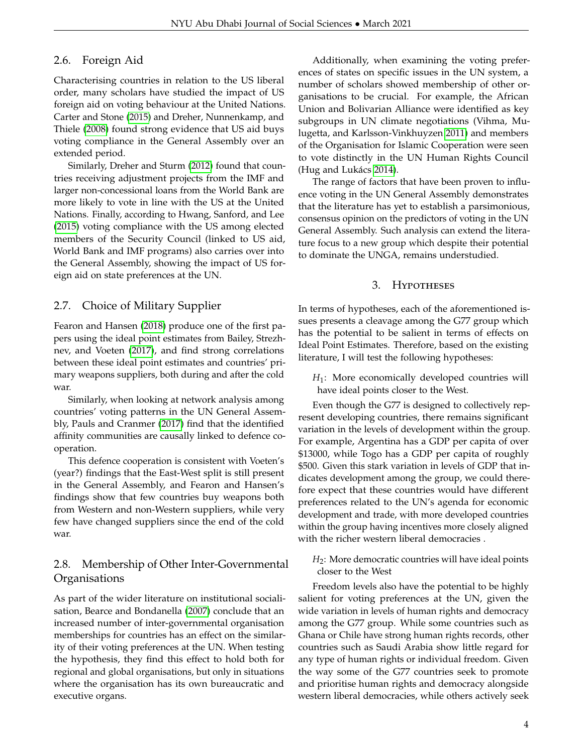#### 2.6. Foreign Aid

Characterising countries in relation to the US liberal order, many scholars have studied the impact of US foreign aid on voting behaviour at the United Nations. Carter and Stone [\(2015\)](#page-10-8) and Dreher, Nunnenkamp, and Thiele [\(2008\)](#page-10-9) found strong evidence that US aid buys voting compliance in the General Assembly over an extended period.

Similarly, Dreher and Sturm [\(2012\)](#page-10-10) found that countries receiving adjustment projects from the IMF and larger non-concessional loans from the World Bank are more likely to vote in line with the US at the United Nations. Finally, according to Hwang, Sanford, and Lee [\(2015\)](#page-10-11) voting compliance with the US among elected members of the Security Council (linked to US aid, World Bank and IMF programs) also carries over into the General Assembly, showing the impact of US foreign aid on state preferences at the UN.

## 2.7. Choice of Military Supplier

Fearon and Hansen [\(2018\)](#page-10-12) produce one of the first papers using the ideal point estimates from Bailey, Strezhnev, and Voeten [\(2017\)](#page-10-2), and find strong correlations between these ideal point estimates and countries' primary weapons suppliers, both during and after the cold war.

Similarly, when looking at network analysis among countries' voting patterns in the UN General Assembly, Pauls and Cranmer [\(2017\)](#page-10-13) find that the identified affinity communities are causally linked to defence cooperation.

This defence cooperation is consistent with Voeten's (year?) findings that the East-West split is still present in the General Assembly, and Fearon and Hansen's findings show that few countries buy weapons both from Western and non-Western suppliers, while very few have changed suppliers since the end of the cold war.

# 2.8. Membership of Other Inter-Governmental **Organisations**

As part of the wider literature on institutional socialisation, Bearce and Bondanella [\(2007\)](#page-10-14) conclude that an increased number of inter-governmental organisation memberships for countries has an effect on the similarity of their voting preferences at the UN. When testing the hypothesis, they find this effect to hold both for regional and global organisations, but only in situations where the organisation has its own bureaucratic and executive organs.

Additionally, when examining the voting preferences of states on specific issues in the UN system, a number of scholars showed membership of other organisations to be crucial. For example, the African Union and Bolivarian Alliance were identified as key subgroups in UN climate negotiations (Vihma, Mulugetta, and Karlsson-Vinkhuyzen [2011\)](#page-10-0) and members of the Organisation for Islamic Cooperation were seen to vote distinctly in the UN Human Rights Council (Hug and Lukács [2014\)](#page-10-7).

The range of factors that have been proven to influence voting in the UN General Assembly demonstrates that the literature has yet to establish a parsimonious, consensus opinion on the predictors of voting in the UN General Assembly. Such analysis can extend the literature focus to a new group which despite their potential to dominate the UNGA, remains understudied.

#### 3. Hypotheses

In terms of hypotheses, each of the aforementioned issues presents a cleavage among the G77 group which has the potential to be salient in terms of effects on Ideal Point Estimates. Therefore, based on the existing literature, I will test the following hypotheses:

*H*1: More economically developed countries will have ideal points closer to the West.

Even though the G77 is designed to collectively represent developing countries, there remains significant variation in the levels of development within the group. For example, Argentina has a GDP per capita of over \$13000, while Togo has a GDP per capita of roughly \$500. Given this stark variation in levels of GDP that indicates development among the group, we could therefore expect that these countries would have different preferences related to the UN's agenda for economic development and trade, with more developed countries within the group having incentives more closely aligned with the richer western liberal democracies .

*H*2: More democratic countries will have ideal points closer to the West

Freedom levels also have the potential to be highly salient for voting preferences at the UN, given the wide variation in levels of human rights and democracy among the G77 group. While some countries such as Ghana or Chile have strong human rights records, other countries such as Saudi Arabia show little regard for any type of human rights or individual freedom. Given the way some of the G77 countries seek to promote and prioritise human rights and democracy alongside western liberal democracies, while others actively seek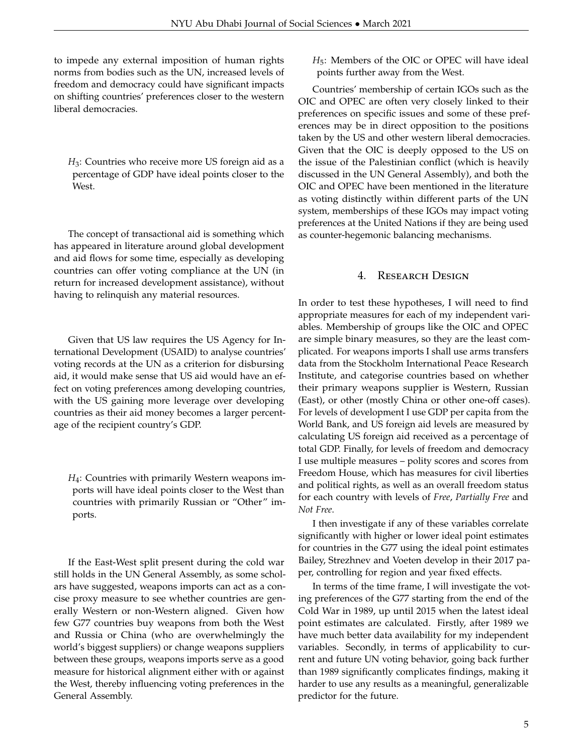to impede any external imposition of human rights norms from bodies such as the UN, increased levels of freedom and democracy could have significant impacts on shifting countries' preferences closer to the western liberal democracies.

*H*<sub>3</sub>: Countries who receive more US foreign aid as a percentage of GDP have ideal points closer to the West.

The concept of transactional aid is something which has appeared in literature around global development and aid flows for some time, especially as developing countries can offer voting compliance at the UN (in return for increased development assistance), without having to relinquish any material resources.

Given that US law requires the US Agency for International Development (USAID) to analyse countries' voting records at the UN as a criterion for disbursing aid, it would make sense that US aid would have an effect on voting preferences among developing countries, with the US gaining more leverage over developing countries as their aid money becomes a larger percentage of the recipient country's GDP.

*H*4: Countries with primarily Western weapons imports will have ideal points closer to the West than countries with primarily Russian or "Other" imports.

If the East-West split present during the cold war still holds in the UN General Assembly, as some scholars have suggested, weapons imports can act as a concise proxy measure to see whether countries are generally Western or non-Western aligned. Given how few G77 countries buy weapons from both the West and Russia or China (who are overwhelmingly the world's biggest suppliers) or change weapons suppliers between these groups, weapons imports serve as a good measure for historical alignment either with or against the West, thereby influencing voting preferences in the General Assembly.

*H*5: Members of the OIC or OPEC will have ideal points further away from the West.

Countries' membership of certain IGOs such as the OIC and OPEC are often very closely linked to their preferences on specific issues and some of these preferences may be in direct opposition to the positions taken by the US and other western liberal democracies. Given that the OIC is deeply opposed to the US on the issue of the Palestinian conflict (which is heavily discussed in the UN General Assembly), and both the OIC and OPEC have been mentioned in the literature as voting distinctly within different parts of the UN system, memberships of these IGOs may impact voting preferences at the United Nations if they are being used as counter-hegemonic balancing mechanisms.

## 4. RESEARCH DESIGN

In order to test these hypotheses, I will need to find appropriate measures for each of my independent variables. Membership of groups like the OIC and OPEC are simple binary measures, so they are the least complicated. For weapons imports I shall use arms transfers data from the Stockholm International Peace Research Institute, and categorise countries based on whether their primary weapons supplier is Western, Russian (East), or other (mostly China or other one-off cases). For levels of development I use GDP per capita from the World Bank, and US foreign aid levels are measured by calculating US foreign aid received as a percentage of total GDP. Finally, for levels of freedom and democracy I use multiple measures – polity scores and scores from Freedom House, which has measures for civil liberties and political rights, as well as an overall freedom status for each country with levels of *Free*, *Partially Free* and *Not Free*.

I then investigate if any of these variables correlate significantly with higher or lower ideal point estimates for countries in the G77 using the ideal point estimates Bailey, Strezhnev and Voeten develop in their 2017 paper, controlling for region and year fixed effects.

In terms of the time frame, I will investigate the voting preferences of the G77 starting from the end of the Cold War in 1989, up until 2015 when the latest ideal point estimates are calculated. Firstly, after 1989 we have much better data availability for my independent variables. Secondly, in terms of applicability to current and future UN voting behavior, going back further than 1989 significantly complicates findings, making it harder to use any results as a meaningful, generalizable predictor for the future.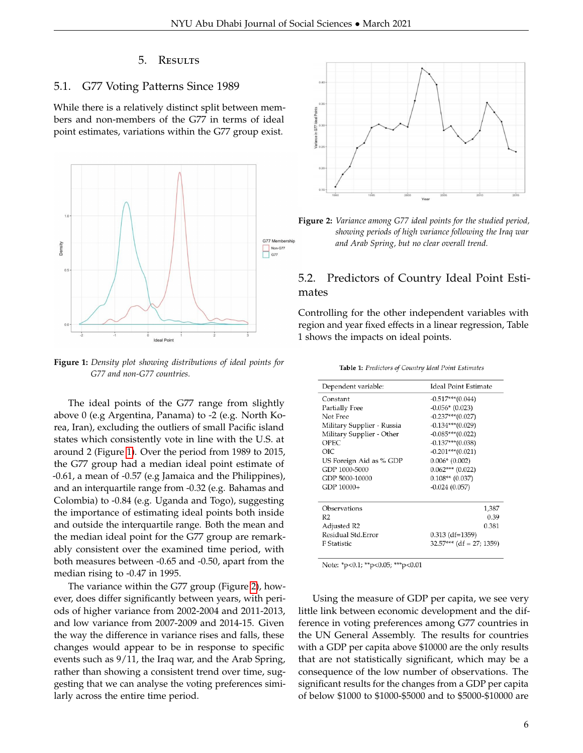#### 5. Results

#### 5.1. G77 Voting Patterns Since 1989

While there is a relatively distinct split between members and non-members of the G77 in terms of ideal point estimates, variations within the G77 group exist.

<span id="page-5-0"></span>

**Figure 1:** *Density plot showing distributions of ideal points for G77 and non-G77 countries.*

The ideal points of the G77 range from slightly above 0 (e.g Argentina, Panama) to -2 (e.g. North Korea, Iran), excluding the outliers of small Pacific island states which consistently vote in line with the U.S. at around 2 (Figure [1\)](#page-5-0). Over the period from 1989 to 2015, the G77 group had a median ideal point estimate of -0.61, a mean of -0.57 (e.g Jamaica and the Philippines), and an interquartile range from -0.32 (e.g. Bahamas and Colombia) to -0.84 (e.g. Uganda and Togo), suggesting the importance of estimating ideal points both inside and outside the interquartile range. Both the mean and the median ideal point for the G77 group are remarkably consistent over the examined time period, with both measures between -0.65 and -0.50, apart from the median rising to -0.47 in 1995.

The variance within the G77 group (Figure [2\)](#page-5-1), however, does differ significantly between years, with periods of higher variance from 2002-2004 and 2011-2013, and low variance from 2007-2009 and 2014-15. Given the way the difference in variance rises and falls, these changes would appear to be in response to specific events such as 9/11, the Iraq war, and the Arab Spring, rather than showing a consistent trend over time, suggesting that we can analyse the voting preferences similarly across the entire time period.

<span id="page-5-1"></span>



# 5.2. Predictors of Country Ideal Point Estimates

Controlling for the other independent variables with region and year fixed effects in a linear regression, Table 1 shows the impacts on ideal points.

Table 1: Predictors of Country Ideal Point Estimates

| Dependent variable:        | <b>Ideal Point Estimate</b> |
|----------------------------|-----------------------------|
| Constant                   | $-0.517***(0.044)$          |
| Partially Free             | $-0.056*(0.023)$            |
| Not Free                   | $-0.237***(0.027)$          |
| Military Supplier - Russia | $-0.134***$ (0.029)         |
| Military Supplier - Other  | $-0.085***(0.022)$          |
| <b>OPEC</b>                | $-0.137***(0.038)$          |
| OIC                        | $-0.201***$ (0.021)         |
| US Foreign Aid as % GDP    | $0.006*$ (0.002)            |
| GDP 1000-5000              | $0.062***(0.022)$           |
| GDP 5000-10000             | $0.108**$ (0.037)           |
| GDP 10000+                 | $-0.024(0.057)$             |
|                            |                             |
| Observations               | 1,387                       |
| R <sub>2</sub>             | 0.39                        |
| Adjusted R2                | 0.381                       |
| Residual Std.Error         | $0.313$ (df=1359)           |
| F Statistic                | $32.57***$ (df = 27; 1359)  |
|                            |                             |

Note: \*p<0.1; \*\*p<0.05; \*\*\*p<0.01

Using the measure of GDP per capita, we see very little link between economic development and the difference in voting preferences among G77 countries in the UN General Assembly. The results for countries with a GDP per capita above \$10000 are the only results that are not statistically significant, which may be a consequence of the low number of observations. The significant results for the changes from a GDP per capita of below \$1000 to \$1000-\$5000 and to \$5000-\$10000 are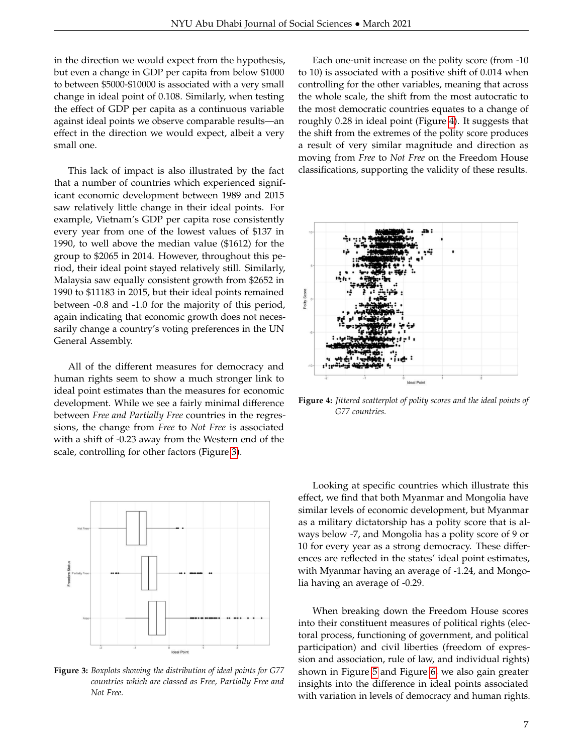in the direction we would expect from the hypothesis, but even a change in GDP per capita from below \$1000 to between \$5000-\$10000 is associated with a very small change in ideal point of 0.108. Similarly, when testing the effect of GDP per capita as a continuous variable against ideal points we observe comparable results––an effect in the direction we would expect, albeit a very small one.

This lack of impact is also illustrated by the fact that a number of countries which experienced significant economic development between 1989 and 2015 saw relatively little change in their ideal points. For example, Vietnam's GDP per capita rose consistently every year from one of the lowest values of \$137 in 1990, to well above the median value (\$1612) for the group to \$2065 in 2014. However, throughout this period, their ideal point stayed relatively still. Similarly, Malaysia saw equally consistent growth from \$2652 in 1990 to \$11183 in 2015, but their ideal points remained between -0.8 and -1.0 for the majority of this period, again indicating that economic growth does not necessarily change a country's voting preferences in the UN General Assembly.

All of the different measures for democracy and human rights seem to show a much stronger link to ideal point estimates than the measures for economic development. While we see a fairly minimal difference between *Free and Partially Free* countries in the regressions, the change from *Free* to *Not Free* is associated with a shift of -0.23 away from the Western end of the scale, controlling for other factors (Figure [3\)](#page-6-0).

<span id="page-6-0"></span>

**Figure 3:** *Boxplots showing the distribution of ideal points for G77 countries which are classed as Free, Partially Free and Not Free.*

Each one-unit increase on the polity score (from -10 to 10) is associated with a positive shift of 0.014 when controlling for the other variables, meaning that across the whole scale, the shift from the most autocratic to the most democratic countries equates to a change of roughly 0.28 in ideal point (Figure [4\)](#page-6-1). It suggests that the shift from the extremes of the polity score produces a result of very similar magnitude and direction as moving from *Free* to *Not Free* on the Freedom House classifications, supporting the validity of these results.

<span id="page-6-1"></span>

**Figure 4:** *Jittered scatterplot of polity scores and the ideal points of G77 countries.*

Looking at specific countries which illustrate this effect, we find that both Myanmar and Mongolia have similar levels of economic development, but Myanmar as a military dictatorship has a polity score that is always below -7, and Mongolia has a polity score of 9 or 10 for every year as a strong democracy. These differences are reflected in the states' ideal point estimates, with Myanmar having an average of -1.24, and Mongolia having an average of -0.29.

When breaking down the Freedom House scores into their constituent measures of political rights (electoral process, functioning of government, and political participation) and civil liberties (freedom of expression and association, rule of law, and individual rights) shown in Figure [5](#page-7-0) and Figure [6,](#page-7-1) we also gain greater insights into the difference in ideal points associated with variation in levels of democracy and human rights.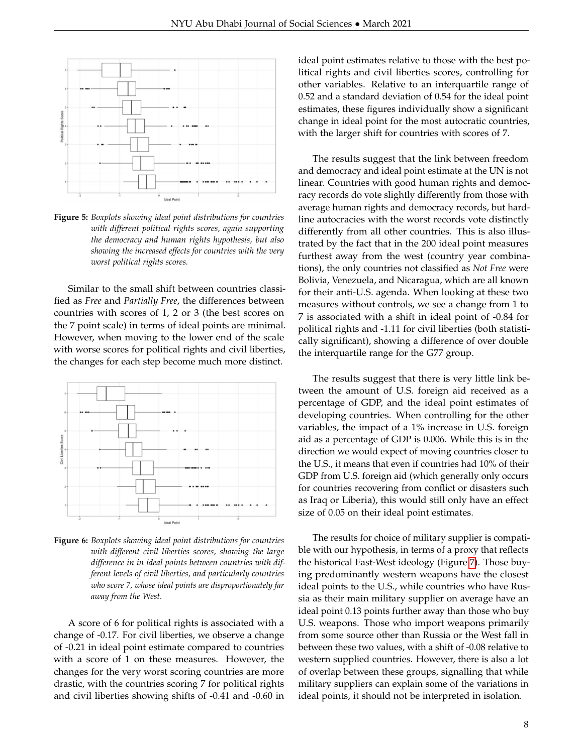<span id="page-7-0"></span>

**Figure 5:** *Boxplots showing ideal point distributions for countries with different political rights scores, again supporting the democracy and human rights hypothesis, but also showing the increased effects for countries with the very worst political rights scores.*

Similar to the small shift between countries classified as *Free* and *Partially Free*, the differences between countries with scores of 1, 2 or 3 (the best scores on the 7 point scale) in terms of ideal points are minimal. However, when moving to the lower end of the scale with worse scores for political rights and civil liberties, the changes for each step become much more distinct.

<span id="page-7-1"></span>

**Figure 6:** *Boxplots showing ideal point distributions for countries with different civil liberties scores, showing the large difference in in ideal points between countries with different levels of civil liberties, and particularly countries who score 7, whose ideal points are disproportionately far away from the West.*

A score of 6 for political rights is associated with a change of -0.17. For civil liberties, we observe a change of -0.21 in ideal point estimate compared to countries with a score of 1 on these measures. However, the changes for the very worst scoring countries are more drastic, with the countries scoring 7 for political rights and civil liberties showing shifts of -0.41 and -0.60 in

ideal point estimates relative to those with the best political rights and civil liberties scores, controlling for other variables. Relative to an interquartile range of 0.52 and a standard deviation of 0.54 for the ideal point estimates, these figures individually show a significant change in ideal point for the most autocratic countries, with the larger shift for countries with scores of 7.

The results suggest that the link between freedom and democracy and ideal point estimate at the UN is not linear. Countries with good human rights and democracy records do vote slightly differently from those with average human rights and democracy records, but hardline autocracies with the worst records vote distinctly differently from all other countries. This is also illustrated by the fact that in the 200 ideal point measures furthest away from the west (country year combinations), the only countries not classified as *Not Free* were Bolivia, Venezuela, and Nicaragua, which are all known for their anti-U.S. agenda. When looking at these two measures without controls, we see a change from 1 to 7 is associated with a shift in ideal point of -0.84 for political rights and -1.11 for civil liberties (both statistically significant), showing a difference of over double the interquartile range for the G77 group.

The results suggest that there is very little link between the amount of U.S. foreign aid received as a percentage of GDP, and the ideal point estimates of developing countries. When controlling for the other variables, the impact of a 1% increase in U.S. foreign aid as a percentage of GDP is 0.006. While this is in the direction we would expect of moving countries closer to the U.S., it means that even if countries had 10% of their GDP from U.S. foreign aid (which generally only occurs for countries recovering from conflict or disasters such as Iraq or Liberia), this would still only have an effect size of 0.05 on their ideal point estimates.

The results for choice of military supplier is compatible with our hypothesis, in terms of a proxy that reflects the historical East-West ideology (Figure [7\)](#page-8-0). Those buying predominantly western weapons have the closest ideal points to the U.S., while countries who have Russia as their main military supplier on average have an ideal point 0.13 points further away than those who buy U.S. weapons. Those who import weapons primarily from some source other than Russia or the West fall in between these two values, with a shift of -0.08 relative to western supplied countries. However, there is also a lot of overlap between these groups, signalling that while military suppliers can explain some of the variations in ideal points, it should not be interpreted in isolation.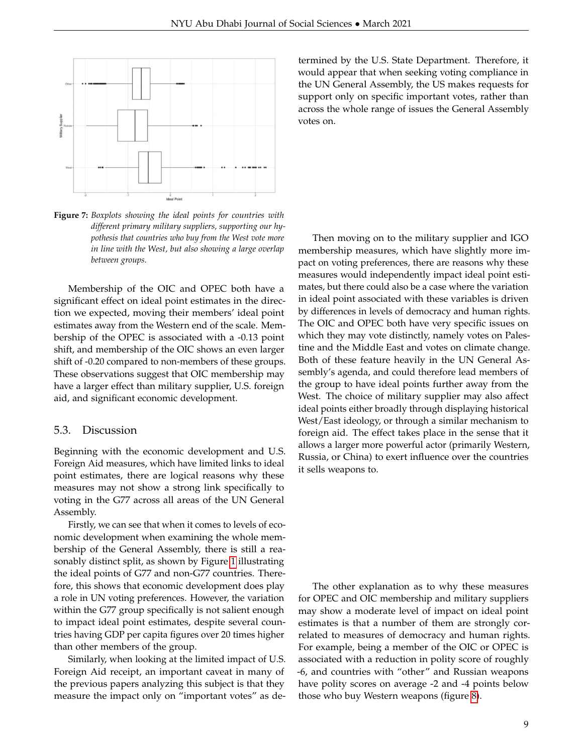<span id="page-8-0"></span>

**Figure 7:** *Boxplots showing the ideal points for countries with different primary military suppliers, supporting our hypothesis that countries who buy from the West vote more in line with the West, but also showing a large overlap between groups.*

Membership of the OIC and OPEC both have a significant effect on ideal point estimates in the direction we expected, moving their members' ideal point estimates away from the Western end of the scale. Membership of the OPEC is associated with a -0.13 point shift, and membership of the OIC shows an even larger shift of -0.20 compared to non-members of these groups. These observations suggest that OIC membership may have a larger effect than military supplier, U.S. foreign aid, and significant economic development.

#### 5.3. Discussion

Beginning with the economic development and U.S. Foreign Aid measures, which have limited links to ideal point estimates, there are logical reasons why these measures may not show a strong link specifically to voting in the G77 across all areas of the UN General Assembly.

Firstly, we can see that when it comes to levels of economic development when examining the whole membership of the General Assembly, there is still a reasonably distinct split, as shown by Figure [1](#page-5-0) illustrating the ideal points of G77 and non-G77 countries. Therefore, this shows that economic development does play a role in UN voting preferences. However, the variation within the G77 group specifically is not salient enough to impact ideal point estimates, despite several countries having GDP per capita figures over 20 times higher than other members of the group.

Similarly, when looking at the limited impact of U.S. Foreign Aid receipt, an important caveat in many of the previous papers analyzing this subject is that they measure the impact only on "important votes" as determined by the U.S. State Department. Therefore, it would appear that when seeking voting compliance in the UN General Assembly, the US makes requests for support only on specific important votes, rather than across the whole range of issues the General Assembly votes on.

Then moving on to the military supplier and IGO membership measures, which have slightly more impact on voting preferences, there are reasons why these measures would independently impact ideal point estimates, but there could also be a case where the variation in ideal point associated with these variables is driven by differences in levels of democracy and human rights. The OIC and OPEC both have very specific issues on which they may vote distinctly, namely votes on Palestine and the Middle East and votes on climate change. Both of these feature heavily in the UN General Assembly's agenda, and could therefore lead members of the group to have ideal points further away from the West. The choice of military supplier may also affect ideal points either broadly through displaying historical West/East ideology, or through a similar mechanism to foreign aid. The effect takes place in the sense that it allows a larger more powerful actor (primarily Western, Russia, or China) to exert influence over the countries it sells weapons to.

The other explanation as to why these measures for OPEC and OIC membership and military suppliers may show a moderate level of impact on ideal point estimates is that a number of them are strongly correlated to measures of democracy and human rights. For example, being a member of the OIC or OPEC is associated with a reduction in polity score of roughly -6, and countries with "other" and Russian weapons have polity scores on average -2 and -4 points below those who buy Western weapons (figure [8\)](#page-9-0).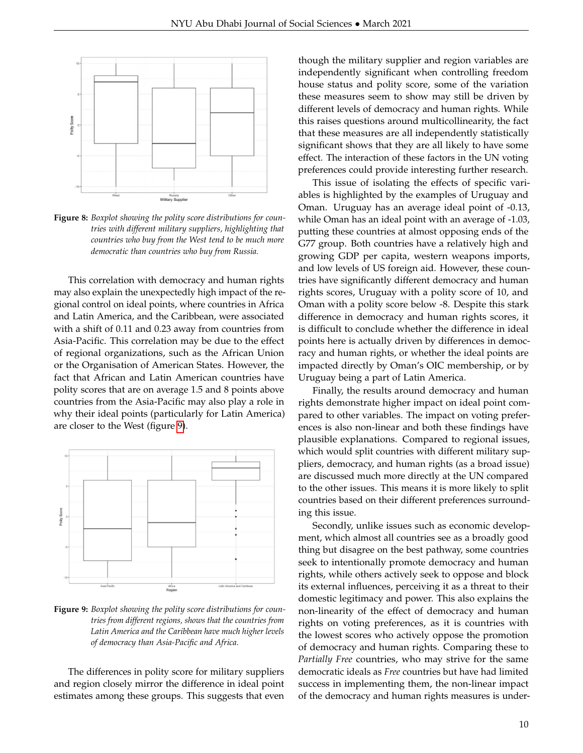<span id="page-9-0"></span>

**Figure 8:** *Boxplot showing the polity score distributions for countries with different military suppliers, highlighting that countries who buy from the West tend to be much more democratic than countries who buy from Russia.*

This correlation with democracy and human rights may also explain the unexpectedly high impact of the regional control on ideal points, where countries in Africa and Latin America, and the Caribbean, were associated with a shift of 0.11 and 0.23 away from countries from Asia-Pacific. This correlation may be due to the effect of regional organizations, such as the African Union or the Organisation of American States. However, the fact that African and Latin American countries have polity scores that are on average 1.5 and 8 points above countries from the Asia-Pacific may also play a role in why their ideal points (particularly for Latin America) are closer to the West (figure [9\)](#page-9-1).

<span id="page-9-1"></span>

**Figure 9:** *Boxplot showing the polity score distributions for countries from different regions, shows that the countries from Latin America and the Caribbean have much higher levels of democracy than Asia-Pacific and Africa.*

The differences in polity score for military suppliers and region closely mirror the difference in ideal point estimates among these groups. This suggests that even though the military supplier and region variables are independently significant when controlling freedom house status and polity score, some of the variation these measures seem to show may still be driven by different levels of democracy and human rights. While this raises questions around multicollinearity, the fact that these measures are all independently statistically significant shows that they are all likely to have some effect. The interaction of these factors in the UN voting preferences could provide interesting further research.

This issue of isolating the effects of specific variables is highlighted by the examples of Uruguay and Oman. Uruguay has an average ideal point of -0.13, while Oman has an ideal point with an average of -1.03, putting these countries at almost opposing ends of the G77 group. Both countries have a relatively high and growing GDP per capita, western weapons imports, and low levels of US foreign aid. However, these countries have significantly different democracy and human rights scores, Uruguay with a polity score of 10, and Oman with a polity score below -8. Despite this stark difference in democracy and human rights scores, it is difficult to conclude whether the difference in ideal points here is actually driven by differences in democracy and human rights, or whether the ideal points are impacted directly by Oman's OIC membership, or by Uruguay being a part of Latin America.

Finally, the results around democracy and human rights demonstrate higher impact on ideal point compared to other variables. The impact on voting preferences is also non-linear and both these findings have plausible explanations. Compared to regional issues, which would split countries with different military suppliers, democracy, and human rights (as a broad issue) are discussed much more directly at the UN compared to the other issues. This means it is more likely to split countries based on their different preferences surrounding this issue.

Secondly, unlike issues such as economic development, which almost all countries see as a broadly good thing but disagree on the best pathway, some countries seek to intentionally promote democracy and human rights, while others actively seek to oppose and block its external influences, perceiving it as a threat to their domestic legitimacy and power. This also explains the non-linearity of the effect of democracy and human rights on voting preferences, as it is countries with the lowest scores who actively oppose the promotion of democracy and human rights. Comparing these to *Partially Free* countries, who may strive for the same democratic ideals as *Free* countries but have had limited success in implementing them, the non-linear impact of the democracy and human rights measures is under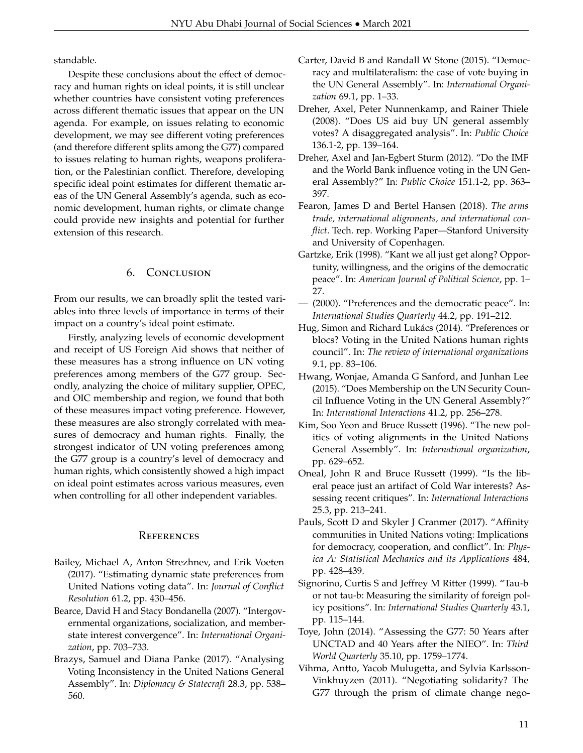standable.

Despite these conclusions about the effect of democracy and human rights on ideal points, it is still unclear whether countries have consistent voting preferences across different thematic issues that appear on the UN agenda. For example, on issues relating to economic development, we may see different voting preferences (and therefore different splits among the G77) compared to issues relating to human rights, weapons proliferation, or the Palestinian conflict. Therefore, developing specific ideal point estimates for different thematic areas of the UN General Assembly's agenda, such as economic development, human rights, or climate change could provide new insights and potential for further extension of this research.

## 6. Conclusion

From our results, we can broadly split the tested variables into three levels of importance in terms of their impact on a country's ideal point estimate.

Firstly, analyzing levels of economic development and receipt of US Foreign Aid shows that neither of these measures has a strong influence on UN voting preferences among members of the G77 group. Secondly, analyzing the choice of military supplier, OPEC, and OIC membership and region, we found that both of these measures impact voting preference. However, these measures are also strongly correlated with measures of democracy and human rights. Finally, the strongest indicator of UN voting preferences among the G77 group is a country's level of democracy and human rights, which consistently showed a high impact on ideal point estimates across various measures, even when controlling for all other independent variables.

## **REFERENCES**

- <span id="page-10-2"></span>Bailey, Michael A, Anton Strezhnev, and Erik Voeten (2017). "Estimating dynamic state preferences from United Nations voting data". In: *Journal of Conflict Resolution* 61.2, pp. 430–456.
- <span id="page-10-14"></span>Bearce, David H and Stacy Bondanella (2007). "Intergovernmental organizations, socialization, and memberstate interest convergence". In: *International Organization*, pp. 703–733.
- Brazys, Samuel and Diana Panke (2017). "Analysing Voting Inconsistency in the United Nations General Assembly". In: *Diplomacy & Statecraft* 28.3, pp. 538– 560.
- <span id="page-10-8"></span>Carter, David B and Randall W Stone (2015). "Democracy and multilateralism: the case of vote buying in the UN General Assembly". In: *International Organization* 69.1, pp. 1–33.
- <span id="page-10-9"></span>Dreher, Axel, Peter Nunnenkamp, and Rainer Thiele (2008). "Does US aid buy UN general assembly votes? A disaggregated analysis". In: *Public Choice* 136.1-2, pp. 139–164.
- <span id="page-10-10"></span>Dreher, Axel and Jan-Egbert Sturm (2012). "Do the IMF and the World Bank influence voting in the UN General Assembly?" In: *Public Choice* 151.1-2, pp. 363– 397.
- <span id="page-10-12"></span>Fearon, James D and Bertel Hansen (2018). *The arms trade, international alignments, and international conflict*. Tech. rep. Working Paper—Stanford University and University of Copenhagen.
- <span id="page-10-3"></span>Gartzke, Erik (1998). "Kant we all just get along? Opportunity, willingness, and the origins of the democratic peace". In: *American Journal of Political Science*, pp. 1– 27.
- <span id="page-10-6"></span>— (2000). "Preferences and the democratic peace". In: *International Studies Quarterly* 44.2, pp. 191–212.
- <span id="page-10-7"></span>Hug, Simon and Richard Lukács (2014). "Preferences or blocs? Voting in the United Nations human rights council". In: *The review of international organizations* 9.1, pp. 83–106.
- <span id="page-10-11"></span>Hwang, Wonjae, Amanda G Sanford, and Junhan Lee (2015). "Does Membership on the UN Security Council Influence Voting in the UN General Assembly?" In: *International Interactions* 41.2, pp. 256–278.
- <span id="page-10-5"></span>Kim, Soo Yeon and Bruce Russett (1996). "The new politics of voting alignments in the United Nations General Assembly". In: *International organization*, pp. 629–652.
- Oneal, John R and Bruce Russett (1999). "Is the liberal peace just an artifact of Cold War interests? Assessing recent critiques". In: *International Interactions* 25.3, pp. 213–241.
- <span id="page-10-13"></span>Pauls, Scott D and Skyler J Cranmer (2017). "Affinity communities in United Nations voting: Implications for democracy, cooperation, and conflict". In: *Physica A: Statistical Mechanics and its Applications* 484, pp. 428–439.
- <span id="page-10-4"></span>Signorino, Curtis S and Jeffrey M Ritter (1999). "Tau-b or not tau-b: Measuring the similarity of foreign policy positions". In: *International Studies Quarterly* 43.1, pp. 115–144.
- <span id="page-10-1"></span>Toye, John (2014). "Assessing the G77: 50 Years after UNCTAD and 40 Years after the NIEO". In: *Third World Quarterly* 35.10, pp. 1759–1774.
- <span id="page-10-0"></span>Vihma, Antto, Yacob Mulugetta, and Sylvia Karlsson-Vinkhuyzen (2011). "Negotiating solidarity? The G77 through the prism of climate change nego-